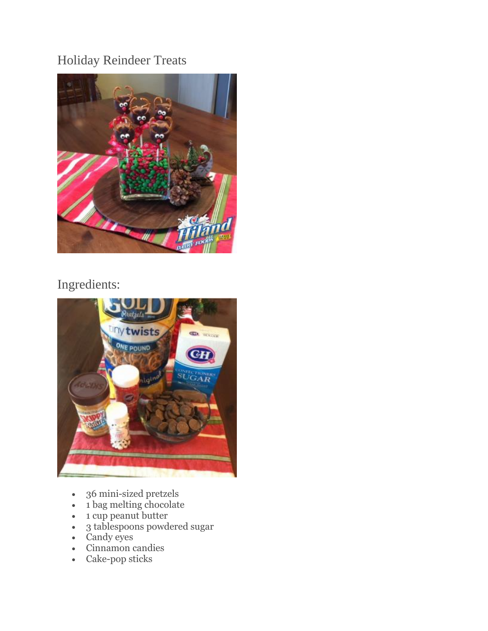## Holiday Reindeer Treats



## Ingredients:



- 36 mini-sized pretzels
- 1 bag melting chocolate
- 1 cup peanut butter
- 3 tablespoons powdered sugar
- Candy eyes
- Cinnamon candies
- Cake-pop sticks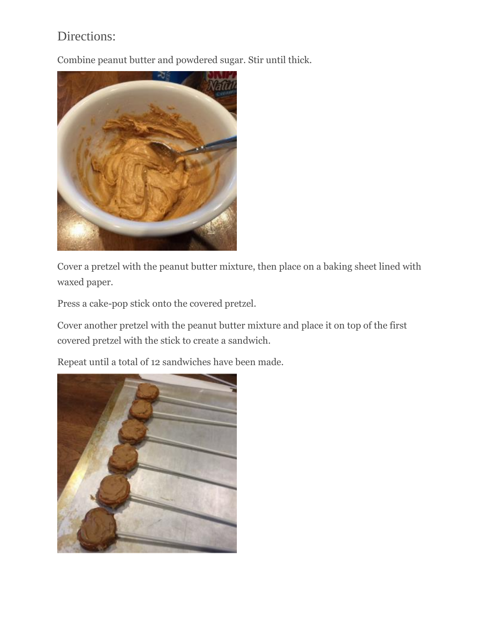## Directions:

Combine peanut butter and powdered sugar. Stir until thick.



Cover a pretzel with the peanut butter mixture, then place on a baking sheet lined with waxed paper.

Press a cake-pop stick onto the covered pretzel.

Cover another pretzel with the peanut butter mixture and place it on top of the first covered pretzel with the stick to create a sandwich.

Repeat until a total of 12 sandwiches have been made.

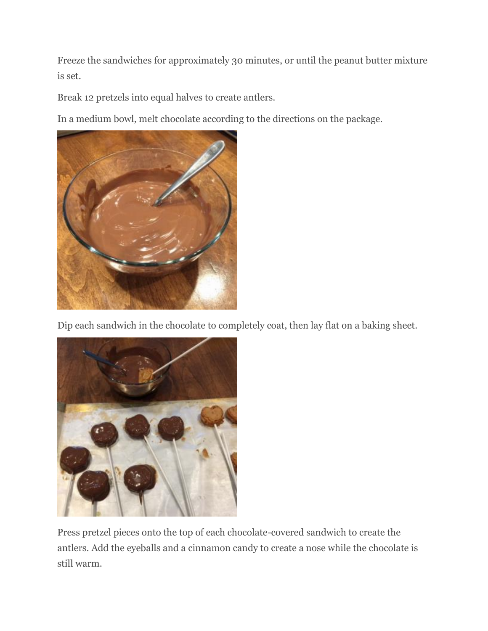Freeze the sandwiches for approximately 30 minutes, or until the peanut butter mixture is set.

Break 12 pretzels into equal halves to create antlers.

In a medium bowl, melt chocolate according to the directions on the package.



Dip each sandwich in the chocolate to completely coat, then lay flat on a baking sheet.



Press pretzel pieces onto the top of each chocolate-covered sandwich to create the antlers. Add the eyeballs and a cinnamon candy to create a nose while the chocolate is still warm.